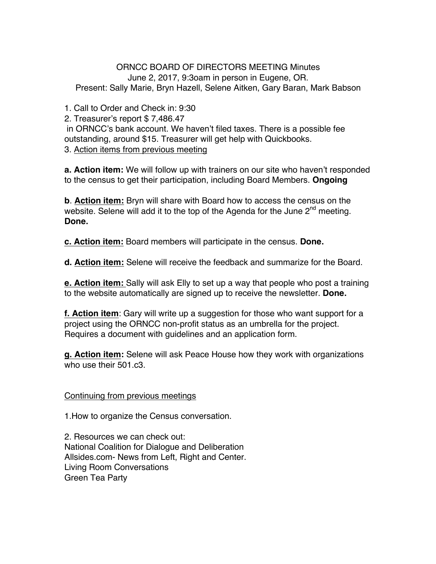ORNCC BOARD OF DIRECTORS MEETING Minutes June 2, 2017, 9:3oam in person in Eugene, OR. Present: Sally Marie, Bryn Hazell, Selene Aitken, Gary Baran, Mark Babson

1. Call to Order and Check in: 9:30

2. Treasurer's report \$ 7,486.47

in ORNCC's bank account. We haven't filed taxes. There is a possible fee outstanding, around \$15. Treasurer will get help with Quickbooks.

3. Action items from previous meeting

**a. Action item:** We will follow up with trainers on our site who haven't responded to the census to get their participation, including Board Members. **Ongoing**

**b**. **Action item:** Bryn will share with Board how to access the census on the website. Selene will add it to the top of the Agenda for the June  $2<sup>nd</sup>$  meeting. **Done.**

**c. Action item:** Board members will participate in the census. **Done.**

**d. Action item:** Selene will receive the feedback and summarize for the Board.

**e. Action item:** Sally will ask Elly to set up a way that people who post a training to the website automatically are signed up to receive the newsletter. **Done.**

**f. Action item**: Gary will write up a suggestion for those who want support for a project using the ORNCC non-profit status as an umbrella for the project. Requires a document with guidelines and an application form.

**g. Action item:** Selene will ask Peace House how they work with organizations who use their 501.c3.

## Continuing from previous meetings

1.How to organize the Census conversation.

2. Resources we can check out: National Coalition for Dialogue and Deliberation Allsides.com- News from Left, Right and Center. Living Room Conversations Green Tea Party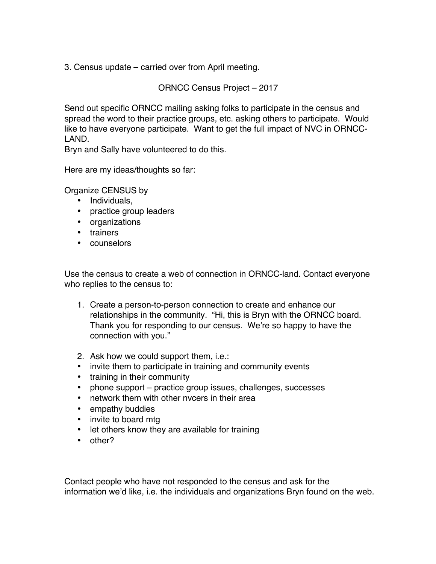3. Census update – carried over from April meeting.

ORNCC Census Project – 2017

Send out specific ORNCC mailing asking folks to participate in the census and spread the word to their practice groups, etc. asking others to participate. Would like to have everyone participate. Want to get the full impact of NVC in ORNCC-LAND.

Bryn and Sally have volunteered to do this.

Here are my ideas/thoughts so far:

Organize CENSUS by

- Individuals,
- practice group leaders
- organizations
- trainers
- counselors

Use the census to create a web of connection in ORNCC-land. Contact everyone who replies to the census to:

- 1. Create a person-to-person connection to create and enhance our relationships in the community. "Hi, this is Bryn with the ORNCC board. Thank you for responding to our census. We're so happy to have the connection with you."
- 2. Ask how we could support them, i.e.:
- invite them to participate in training and community events
- training in their community
- phone support practice group issues, challenges, successes
- network them with other nvcers in their area
- empathy buddies
- invite to board mtg
- let others know they are available for training
- other?

Contact people who have not responded to the census and ask for the information we'd like, i.e. the individuals and organizations Bryn found on the web.